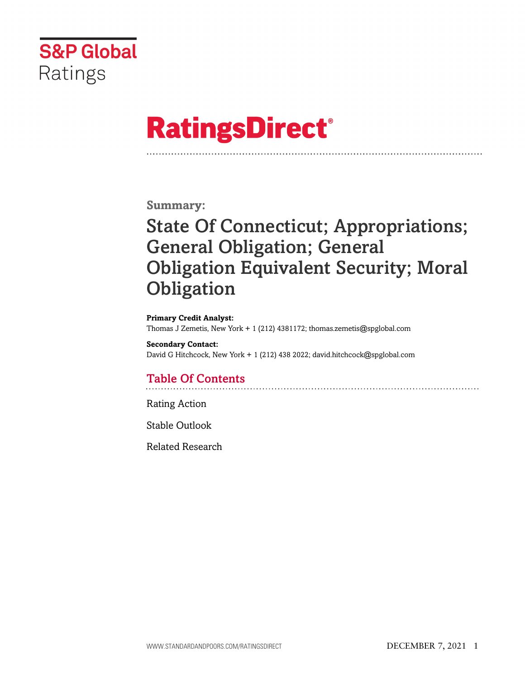

# **RatingsDirect®**

### **Summary:**

# State Of Connecticut; Appropriations; General Obligation; General Obligation Equivalent Security; Moral **Obligation**

#### **Primary Credit Analyst:**

Thomas J Zemetis, New York + 1 (212) 4381172; thomas.zemetis@spglobal.com

#### **Secondary Contact:**

David G Hitchcock, New York + 1 (212) 438 2022; david.hitchcock@spglobal.com

# Table Of Contents

[Rating Action](#page-1-0)

[Stable Outlook](#page-5-0)

[Related Research](#page-6-0)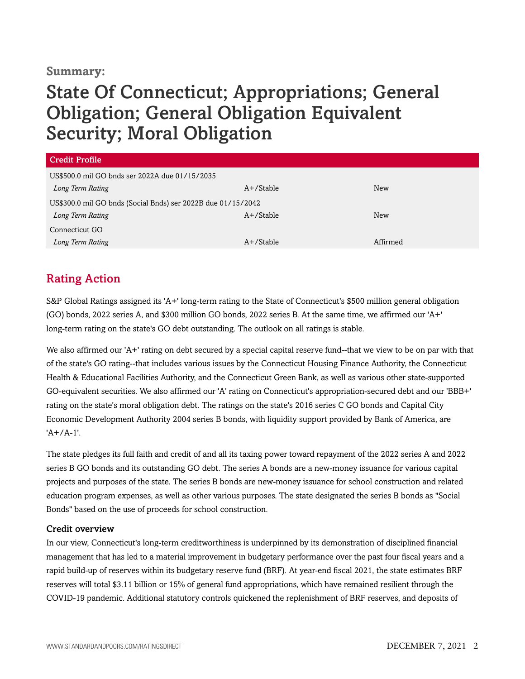#### **Summary:**

# State Of Connecticut; Appropriations; General Obligation; General Obligation Equivalent Security; Moral Obligation

| <b>Credit Profile</b>                                        |              |            |  |
|--------------------------------------------------------------|--------------|------------|--|
| US\$500.0 mil GO bnds ser 2022A due 01/15/2035               |              |            |  |
| Long Term Rating                                             | A+/Stable    | New        |  |
| US\$300.0 mil GO bnds (Social Bnds) ser 2022B due 01/15/2042 |              |            |  |
| Long Term Rating                                             | A+/Stable    | <b>New</b> |  |
| Connecticut GO                                               |              |            |  |
| Long Term Rating                                             | $A+$ /Stable | Affirmed   |  |

# <span id="page-1-0"></span>Rating Action

S&P Global Ratings assigned its 'A+' long-term rating to the State of Connecticut's \$500 million general obligation (GO) bonds, 2022 series A, and \$300 million GO bonds, 2022 series B. At the same time, we affirmed our 'A+' long-term rating on the state's GO debt outstanding. The outlook on all ratings is stable.

We also affirmed our 'A+' rating on debt secured by a special capital reserve fund--that we view to be on par with that of the state's GO rating--that includes various issues by the Connecticut Housing Finance Authority, the Connecticut Health & Educational Facilities Authority, and the Connecticut Green Bank, as well as various other state-supported GO-equivalent securities. We also affirmed our 'A' rating on Connecticut's appropriation-secured debt and our 'BBB+' rating on the state's moral obligation debt. The ratings on the state's 2016 series C GO bonds and Capital City Economic Development Authority 2004 series B bonds, with liquidity support provided by Bank of America, are  $'A + / A - 1'$ .

The state pledges its full faith and credit of and all its taxing power toward repayment of the 2022 series A and 2022 series B GO bonds and its outstanding GO debt. The series A bonds are a new-money issuance for various capital projects and purposes of the state. The series B bonds are new-money issuance for school construction and related education program expenses, as well as other various purposes. The state designated the series B bonds as "Social Bonds" based on the use of proceeds for school construction.

#### Credit overview

In our view, Connecticut's long-term creditworthiness is underpinned by its demonstration of disciplined financial management that has led to a material improvement in budgetary performance over the past four fiscal years and a rapid build-up of reserves within its budgetary reserve fund (BRF). At year-end fiscal 2021, the state estimates BRF reserves will total \$3.11 billion or 15% of general fund appropriations, which have remained resilient through the COVID-19 pandemic. Additional statutory controls quickened the replenishment of BRF reserves, and deposits of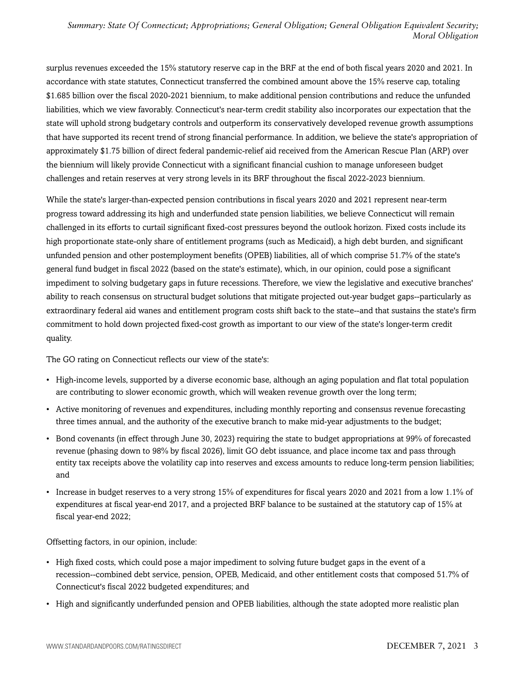surplus revenues exceeded the 15% statutory reserve cap in the BRF at the end of both fiscal years 2020 and 2021. In accordance with state statutes, Connecticut transferred the combined amount above the 15% reserve cap, totaling \$1.685 billion over the fiscal 2020-2021 biennium, to make additional pension contributions and reduce the unfunded liabilities, which we view favorably. Connecticut's near-term credit stability also incorporates our expectation that the state will uphold strong budgetary controls and outperform its conservatively developed revenue growth assumptions that have supported its recent trend of strong financial performance. In addition, we believe the state's appropriation of approximately \$1.75 billion of direct federal pandemic-relief aid received from the American Rescue Plan (ARP) over the biennium will likely provide Connecticut with a significant financial cushion to manage unforeseen budget challenges and retain reserves at very strong levels in its BRF throughout the fiscal 2022-2023 biennium.

While the state's larger-than-expected pension contributions in fiscal years 2020 and 2021 represent near-term progress toward addressing its high and underfunded state pension liabilities, we believe Connecticut will remain challenged in its efforts to curtail significant fixed-cost pressures beyond the outlook horizon. Fixed costs include its high proportionate state-only share of entitlement programs (such as Medicaid), a high debt burden, and significant unfunded pension and other postemployment benefits (OPEB) liabilities, all of which comprise 51.7% of the state's general fund budget in fiscal 2022 (based on the state's estimate), which, in our opinion, could pose a significant impediment to solving budgetary gaps in future recessions. Therefore, we view the legislative and executive branches' ability to reach consensus on structural budget solutions that mitigate projected out-year budget gaps--particularly as extraordinary federal aid wanes and entitlement program costs shift back to the state--and that sustains the state's firm commitment to hold down projected fixed-cost growth as important to our view of the state's longer-term credit quality.

The GO rating on Connecticut reflects our view of the state's:

- High-income levels, supported by a diverse economic base, although an aging population and flat total population are contributing to slower economic growth, which will weaken revenue growth over the long term;
- Active monitoring of revenues and expenditures, including monthly reporting and consensus revenue forecasting three times annual, and the authority of the executive branch to make mid-year adjustments to the budget;
- Bond covenants (in effect through June 30, 2023) requiring the state to budget appropriations at 99% of forecasted revenue (phasing down to 98% by fiscal 2026), limit GO debt issuance, and place income tax and pass through entity tax receipts above the volatility cap into reserves and excess amounts to reduce long-term pension liabilities; and
- Increase in budget reserves to a very strong 15% of expenditures for fiscal years 2020 and 2021 from a low 1.1% of expenditures at fiscal year-end 2017, and a projected BRF balance to be sustained at the statutory cap of 15% at fiscal year-end 2022;

Offsetting factors, in our opinion, include:

- High fixed costs, which could pose a major impediment to solving future budget gaps in the event of a recession--combined debt service, pension, OPEB, Medicaid, and other entitlement costs that composed 51.7% of Connecticut's fiscal 2022 budgeted expenditures; and
- High and significantly underfunded pension and OPEB liabilities, although the state adopted more realistic plan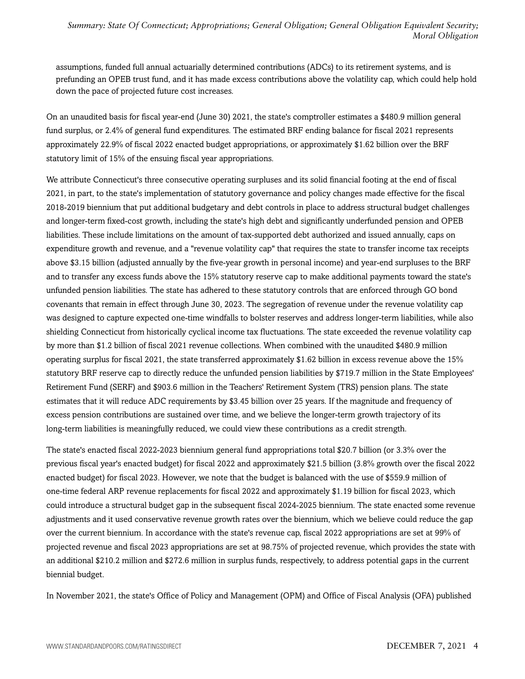assumptions, funded full annual actuarially determined contributions (ADCs) to its retirement systems, and is prefunding an OPEB trust fund, and it has made excess contributions above the volatility cap, which could help hold down the pace of projected future cost increases.

On an unaudited basis for fiscal year-end (June 30) 2021, the state's comptroller estimates a \$480.9 million general fund surplus, or 2.4% of general fund expenditures. The estimated BRF ending balance for fiscal 2021 represents approximately 22.9% of fiscal 2022 enacted budget appropriations, or approximately \$1.62 billion over the BRF statutory limit of 15% of the ensuing fiscal year appropriations.

We attribute Connecticut's three consecutive operating surpluses and its solid financial footing at the end of fiscal 2021, in part, to the state's implementation of statutory governance and policy changes made effective for the fiscal 2018-2019 biennium that put additional budgetary and debt controls in place to address structural budget challenges and longer-term fixed-cost growth, including the state's high debt and significantly underfunded pension and OPEB liabilities. These include limitations on the amount of tax-supported debt authorized and issued annually, caps on expenditure growth and revenue, and a "revenue volatility cap" that requires the state to transfer income tax receipts above \$3.15 billion (adjusted annually by the five-year growth in personal income) and year-end surpluses to the BRF and to transfer any excess funds above the 15% statutory reserve cap to make additional payments toward the state's unfunded pension liabilities. The state has adhered to these statutory controls that are enforced through GO bond covenants that remain in effect through June 30, 2023. The segregation of revenue under the revenue volatility cap was designed to capture expected one-time windfalls to bolster reserves and address longer-term liabilities, while also shielding Connecticut from historically cyclical income tax fluctuations. The state exceeded the revenue volatility cap by more than \$1.2 billion of fiscal 2021 revenue collections. When combined with the unaudited \$480.9 million operating surplus for fiscal 2021, the state transferred approximately \$1.62 billion in excess revenue above the 15% statutory BRF reserve cap to directly reduce the unfunded pension liabilities by \$719.7 million in the State Employees' Retirement Fund (SERF) and \$903.6 million in the Teachers' Retirement System (TRS) pension plans. The state estimates that it will reduce ADC requirements by \$3.45 billion over 25 years. If the magnitude and frequency of excess pension contributions are sustained over time, and we believe the longer-term growth trajectory of its long-term liabilities is meaningfully reduced, we could view these contributions as a credit strength.

The state's enacted fiscal 2022-2023 biennium general fund appropriations total \$20.7 billion (or 3.3% over the previous fiscal year's enacted budget) for fiscal 2022 and approximately \$21.5 billion (3.8% growth over the fiscal 2022 enacted budget) for fiscal 2023. However, we note that the budget is balanced with the use of \$559.9 million of one-time federal ARP revenue replacements for fiscal 2022 and approximately \$1.19 billion for fiscal 2023, which could introduce a structural budget gap in the subsequent fiscal 2024-2025 biennium. The state enacted some revenue adjustments and it used conservative revenue growth rates over the biennium, which we believe could reduce the gap over the current biennium. In accordance with the state's revenue cap, fiscal 2022 appropriations are set at 99% of projected revenue and fiscal 2023 appropriations are set at 98.75% of projected revenue, which provides the state with an additional \$210.2 million and \$272.6 million in surplus funds, respectively, to address potential gaps in the current biennial budget.

In November 2021, the state's Office of Policy and Management (OPM) and Office of Fiscal Analysis (OFA) published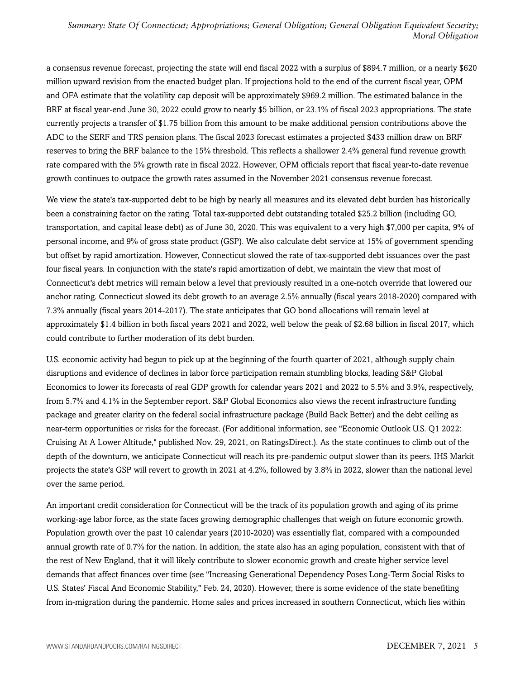a consensus revenue forecast, projecting the state will end fiscal 2022 with a surplus of \$894.7 million, or a nearly \$620 million upward revision from the enacted budget plan. If projections hold to the end of the current fiscal year, OPM and OFA estimate that the volatility cap deposit will be approximately \$969.2 million. The estimated balance in the BRF at fiscal year-end June 30, 2022 could grow to nearly \$5 billion, or 23.1% of fiscal 2023 appropriations. The state currently projects a transfer of \$1.75 billion from this amount to be make additional pension contributions above the ADC to the SERF and TRS pension plans. The fiscal 2023 forecast estimates a projected \$433 million draw on BRF reserves to bring the BRF balance to the 15% threshold. This reflects a shallower 2.4% general fund revenue growth rate compared with the 5% growth rate in fiscal 2022. However, OPM officials report that fiscal year-to-date revenue growth continues to outpace the growth rates assumed in the November 2021 consensus revenue forecast.

We view the state's tax-supported debt to be high by nearly all measures and its elevated debt burden has historically been a constraining factor on the rating. Total tax-supported debt outstanding totaled \$25.2 billion (including GO, transportation, and capital lease debt) as of June 30, 2020. This was equivalent to a very high \$7,000 per capita, 9% of personal income, and 9% of gross state product (GSP). We also calculate debt service at 15% of government spending but offset by rapid amortization. However, Connecticut slowed the rate of tax-supported debt issuances over the past four fiscal years. In conjunction with the state's rapid amortization of debt, we maintain the view that most of Connecticut's debt metrics will remain below a level that previously resulted in a one-notch override that lowered our anchor rating. Connecticut slowed its debt growth to an average 2.5% annually (fiscal years 2018-2020) compared with 7.3% annually (fiscal years 2014-2017). The state anticipates that GO bond allocations will remain level at approximately \$1.4 billion in both fiscal years 2021 and 2022, well below the peak of \$2.68 billion in fiscal 2017, which could contribute to further moderation of its debt burden.

U.S. economic activity had begun to pick up at the beginning of the fourth quarter of 2021, although supply chain disruptions and evidence of declines in labor force participation remain stumbling blocks, leading S&P Global Economics to lower its forecasts of real GDP growth for calendar years 2021 and 2022 to 5.5% and 3.9%, respectively, from 5.7% and 4.1% in the September report. S&P Global Economics also views the recent infrastructure funding package and greater clarity on the federal social infrastructure package (Build Back Better) and the debt ceiling as near-term opportunities or risks for the forecast. (For additional information, see "Economic Outlook U.S. Q1 2022: Cruising At A Lower Altitude," published Nov. 29, 2021, on RatingsDirect.). As the state continues to climb out of the depth of the downturn, we anticipate Connecticut will reach its pre-pandemic output slower than its peers. IHS Markit projects the state's GSP will revert to growth in 2021 at 4.2%, followed by 3.8% in 2022, slower than the national level over the same period.

An important credit consideration for Connecticut will be the track of its population growth and aging of its prime working-age labor force, as the state faces growing demographic challenges that weigh on future economic growth. Population growth over the past 10 calendar years (2010-2020) was essentially flat, compared with a compounded annual growth rate of 0.7% for the nation. In addition, the state also has an aging population, consistent with that of the rest of New England, that it will likely contribute to slower economic growth and create higher service level demands that affect finances over time (see "Increasing Generational Dependency Poses Long-Term Social Risks to U.S. States' Fiscal And Economic Stability," Feb. 24, 2020). However, there is some evidence of the state benefiting from in-migration during the pandemic. Home sales and prices increased in southern Connecticut, which lies within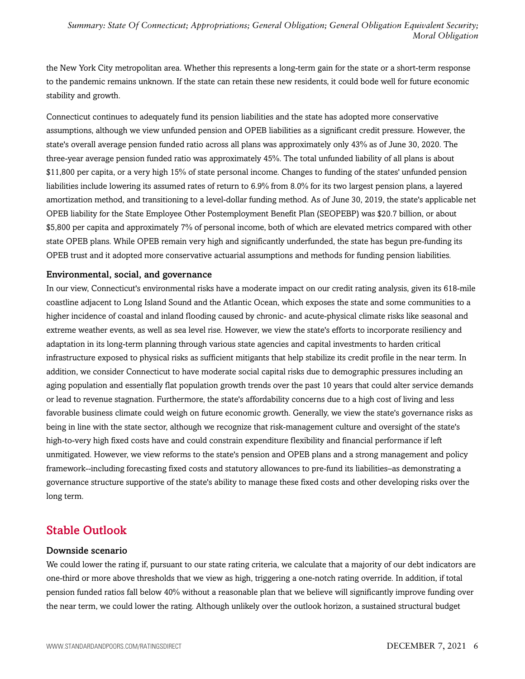the New York City metropolitan area. Whether this represents a long-term gain for the state or a short-term response to the pandemic remains unknown. If the state can retain these new residents, it could bode well for future economic stability and growth.

Connecticut continues to adequately fund its pension liabilities and the state has adopted more conservative assumptions, although we view unfunded pension and OPEB liabilities as a significant credit pressure. However, the state's overall average pension funded ratio across all plans was approximately only 43% as of June 30, 2020. The three-year average pension funded ratio was approximately 45%. The total unfunded liability of all plans is about \$11,800 per capita, or a very high 15% of state personal income. Changes to funding of the states' unfunded pension liabilities include lowering its assumed rates of return to 6.9% from 8.0% for its two largest pension plans, a layered amortization method, and transitioning to a level-dollar funding method. As of June 30, 2019, the state's applicable net OPEB liability for the State Employee Other Postemployment Benefit Plan (SEOPEBP) was \$20.7 billion, or about \$5,800 per capita and approximately 7% of personal income, both of which are elevated metrics compared with other state OPEB plans. While OPEB remain very high and significantly underfunded, the state has begun pre-funding its OPEB trust and it adopted more conservative actuarial assumptions and methods for funding pension liabilities.

#### Environmental, social, and governance

In our view, Connecticut's environmental risks have a moderate impact on our credit rating analysis, given its 618-mile coastline adjacent to Long Island Sound and the Atlantic Ocean, which exposes the state and some communities to a higher incidence of coastal and inland flooding caused by chronic- and acute-physical climate risks like seasonal and extreme weather events, as well as sea level rise. However, we view the state's efforts to incorporate resiliency and adaptation in its long-term planning through various state agencies and capital investments to harden critical infrastructure exposed to physical risks as sufficient mitigants that help stabilize its credit profile in the near term. In addition, we consider Connecticut to have moderate social capital risks due to demographic pressures including an aging population and essentially flat population growth trends over the past 10 years that could alter service demands or lead to revenue stagnation. Furthermore, the state's affordability concerns due to a high cost of living and less favorable business climate could weigh on future economic growth. Generally, we view the state's governance risks as being in line with the state sector, although we recognize that risk-management culture and oversight of the state's high-to-very high fixed costs have and could constrain expenditure flexibility and financial performance if left unmitigated. However, we view reforms to the state's pension and OPEB plans and a strong management and policy framework--including forecasting fixed costs and statutory allowances to pre-fund its liabilities–as demonstrating a governance structure supportive of the state's ability to manage these fixed costs and other developing risks over the long term.

### <span id="page-5-0"></span>Stable Outlook

#### Downside scenario

We could lower the rating if, pursuant to our state rating criteria, we calculate that a majority of our debt indicators are one-third or more above thresholds that we view as high, triggering a one-notch rating override. In addition, if total pension funded ratios fall below 40% without a reasonable plan that we believe will significantly improve funding over the near term, we could lower the rating. Although unlikely over the outlook horizon, a sustained structural budget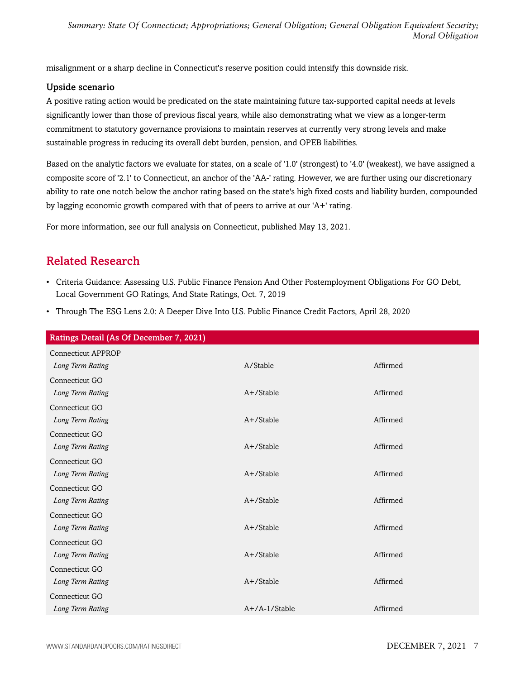misalignment or a sharp decline in Connecticut's reserve position could intensify this downside risk.

#### Upside scenario

A positive rating action would be predicated on the state maintaining future tax-supported capital needs at levels significantly lower than those of previous fiscal years, while also demonstrating what we view as a longer-term commitment to statutory governance provisions to maintain reserves at currently very strong levels and make sustainable progress in reducing its overall debt burden, pension, and OPEB liabilities.

Based on the analytic factors we evaluate for states, on a scale of '1.0' (strongest) to '4.0' (weakest), we have assigned a composite score of '2.1' to Connecticut, an anchor of the 'AA-' rating. However, we are further using our discretionary ability to rate one notch below the anchor rating based on the state's high fixed costs and liability burden, compounded by lagging economic growth compared with that of peers to arrive at our 'A+' rating.

<span id="page-6-0"></span>For more information, see our full analysis on Connecticut, published May 13, 2021.

## Related Research

- Criteria Guidance: Assessing U.S. Public Finance Pension And Other Postemployment Obligations For GO Debt, Local Government GO Ratings, And State Ratings, Oct. 7, 2019
- Through The ESG Lens 2.0: A Deeper Dive Into U.S. Public Finance Credit Factors, April 28, 2020

| Ratings Detail (As Of December 7, 2021) |                  |          |
|-----------------------------------------|------------------|----------|
| <b>Connecticut APPROP</b>               |                  |          |
| Long Term Rating                        | A/Stable         | Affirmed |
| Connecticut GO                          |                  |          |
| Long Term Rating                        | $A+$ /Stable     | Affirmed |
| Connecticut GO                          |                  |          |
| Long Term Rating                        | $A+$ /Stable     | Affirmed |
| Connecticut GO                          |                  |          |
| Long Term Rating                        | $A+$ /Stable     | Affirmed |
| Connecticut GO                          |                  |          |
| Long Term Rating                        | $A+$ /Stable     | Affirmed |
| Connecticut GO                          |                  |          |
| Long Term Rating                        | A+/Stable        | Affirmed |
| Connecticut GO                          |                  |          |
| Long Term Rating                        | A+/Stable        | Affirmed |
| Connecticut GO                          |                  |          |
| Long Term Rating                        | A+/Stable        | Affirmed |
| Connecticut GO                          |                  |          |
| Long Term Rating                        | A+/Stable        | Affirmed |
| Connecticut GO                          |                  |          |
| Long Term Rating                        | $A+/A-1/S$ table | Affirmed |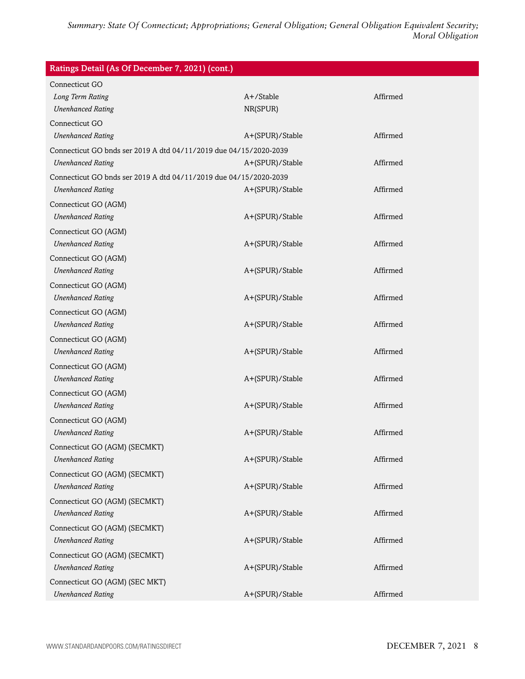| Ratings Detail (As Of December 7, 2021) (cont.)                   |                 |          |  |
|-------------------------------------------------------------------|-----------------|----------|--|
| Connecticut GO                                                    |                 |          |  |
| Long Term Rating                                                  | A+/Stable       | Affirmed |  |
| <b>Unenhanced Rating</b>                                          | NR(SPUR)        |          |  |
| Connecticut GO                                                    |                 |          |  |
| <b>Unenhanced Rating</b>                                          | A+(SPUR)/Stable | Affirmed |  |
| Connecticut GO bnds ser 2019 A dtd 04/11/2019 due 04/15/2020-2039 |                 |          |  |
| <b>Unenhanced Rating</b>                                          | A+(SPUR)/Stable | Affirmed |  |
| Connecticut GO bnds ser 2019 A dtd 04/11/2019 due 04/15/2020-2039 |                 |          |  |
| <b>Unenhanced Rating</b>                                          | A+(SPUR)/Stable | Affirmed |  |
| Connecticut GO (AGM)                                              |                 |          |  |
| <b>Unenhanced Rating</b>                                          | A+(SPUR)/Stable | Affirmed |  |
| Connecticut GO (AGM)                                              |                 |          |  |
| <b>Unenhanced Rating</b>                                          | A+(SPUR)/Stable | Affirmed |  |
| Connecticut GO (AGM)                                              |                 |          |  |
| <b>Unenhanced Rating</b>                                          | A+(SPUR)/Stable | Affirmed |  |
| Connecticut GO (AGM)                                              |                 |          |  |
| <b>Unenhanced Rating</b>                                          | A+(SPUR)/Stable | Affirmed |  |
| Connecticut GO (AGM)                                              |                 |          |  |
| <b>Unenhanced Rating</b>                                          | A+(SPUR)/Stable | Affirmed |  |
| Connecticut GO (AGM)                                              |                 |          |  |
| <b>Unenhanced Rating</b>                                          | A+(SPUR)/Stable | Affirmed |  |
| Connecticut GO (AGM)                                              |                 |          |  |
| <b>Unenhanced Rating</b>                                          | A+(SPUR)/Stable | Affirmed |  |
| Connecticut GO (AGM)                                              |                 |          |  |
| <b>Unenhanced Rating</b>                                          | A+(SPUR)/Stable | Affirmed |  |
| Connecticut GO (AGM)                                              |                 |          |  |
| <b>Unenhanced Rating</b>                                          | A+(SPUR)/Stable | Affirmed |  |
| Connecticut GO (AGM) (SECMKT)                                     |                 |          |  |
| <b>Unenhanced Rating</b>                                          | A+(SPUR)/Stable | Affirmed |  |
| Connecticut GO (AGM) (SECMKT)                                     |                 |          |  |
| <b>Unenhanced Rating</b>                                          | A+(SPUR)/Stable | Affirmed |  |
| Connecticut GO (AGM) (SECMKT)                                     |                 |          |  |
| <b>Unenhanced Rating</b>                                          | A+(SPUR)/Stable | Affirmed |  |
| Connecticut GO (AGM) (SECMKT)                                     |                 |          |  |
| <b>Unenhanced Rating</b>                                          | A+(SPUR)/Stable | Affirmed |  |
| Connecticut GO (AGM) (SECMKT)                                     |                 |          |  |
| <b>Unenhanced Rating</b>                                          | A+(SPUR)/Stable | Affirmed |  |
| Connecticut GO (AGM) (SEC MKT)                                    |                 |          |  |
| <b>Unenhanced Rating</b>                                          | A+(SPUR)/Stable | Affirmed |  |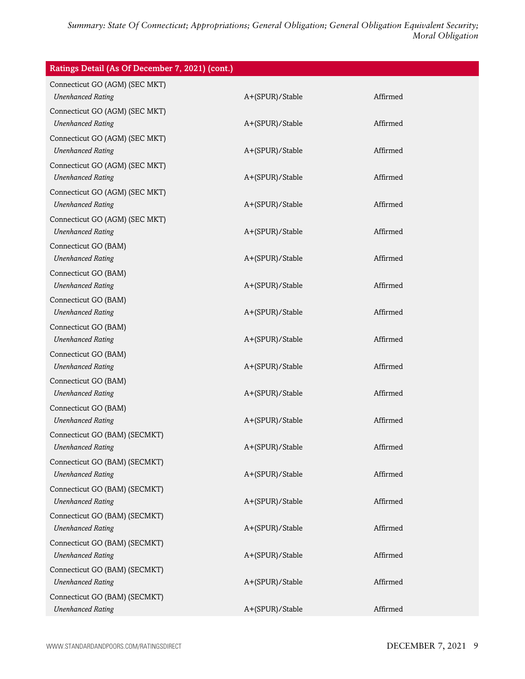| Ratings Detail (As Of December 7, 2021) (cont.)           |                 |          |
|-----------------------------------------------------------|-----------------|----------|
| Connecticut GO (AGM) (SEC MKT)                            |                 |          |
| <b>Unenhanced Rating</b>                                  | A+(SPUR)/Stable | Affirmed |
| Connecticut GO (AGM) (SEC MKT)                            |                 |          |
| <b>Unenhanced Rating</b>                                  | A+(SPUR)/Stable | Affirmed |
| Connecticut GO (AGM) (SEC MKT)                            |                 |          |
| <b>Unenhanced Rating</b>                                  | A+(SPUR)/Stable | Affirmed |
| Connecticut GO (AGM) (SEC MKT)                            |                 |          |
| <b>Unenhanced Rating</b>                                  | A+(SPUR)/Stable | Affirmed |
| Connecticut GO (AGM) (SEC MKT)                            |                 |          |
| <b>Unenhanced Rating</b>                                  | A+(SPUR)/Stable | Affirmed |
| Connecticut GO (AGM) (SEC MKT)                            |                 |          |
| <b>Unenhanced Rating</b>                                  | A+(SPUR)/Stable | Affirmed |
| Connecticut GO (BAM)                                      |                 |          |
| <b>Unenhanced Rating</b>                                  | A+(SPUR)/Stable | Affirmed |
| Connecticut GO (BAM)                                      |                 |          |
| <b>Unenhanced Rating</b>                                  | A+(SPUR)/Stable | Affirmed |
| Connecticut GO (BAM)                                      |                 |          |
| <b>Unenhanced Rating</b>                                  | A+(SPUR)/Stable | Affirmed |
| Connecticut GO (BAM)                                      |                 |          |
| <b>Unenhanced Rating</b>                                  | A+(SPUR)/Stable | Affirmed |
| Connecticut GO (BAM)                                      |                 | Affirmed |
| <b>Unenhanced Rating</b>                                  | A+(SPUR)/Stable |          |
| Connecticut GO (BAM)<br><b>Unenhanced Rating</b>          | A+(SPUR)/Stable | Affirmed |
|                                                           |                 |          |
| Connecticut GO (BAM)<br><b>Unenhanced Rating</b>          | A+(SPUR)/Stable | Affirmed |
|                                                           |                 |          |
| Connecticut GO (BAM) (SECMKT)<br><b>Unenhanced Rating</b> | A+(SPUR)/Stable | Affirmed |
| Connecticut GO (BAM) (SECMKT)                             |                 |          |
| <b>Unenhanced Rating</b>                                  | A+(SPUR)/Stable | Affirmed |
| Connecticut GO (BAM) (SECMKT)                             |                 |          |
| <b>Unenhanced Rating</b>                                  | A+(SPUR)/Stable | Affirmed |
| Connecticut GO (BAM) (SECMKT)                             |                 |          |
| <b>Unenhanced Rating</b>                                  | A+(SPUR)/Stable | Affirmed |
| Connecticut GO (BAM) (SECMKT)                             |                 |          |
| <b>Unenhanced Rating</b>                                  | A+(SPUR)/Stable | Affirmed |
| Connecticut GO (BAM) (SECMKT)                             |                 |          |
| <b>Unenhanced Rating</b>                                  | A+(SPUR)/Stable | Affirmed |
| Connecticut GO (BAM) (SECMKT)                             |                 |          |
| <b>Unenhanced Rating</b>                                  | A+(SPUR)/Stable | Affirmed |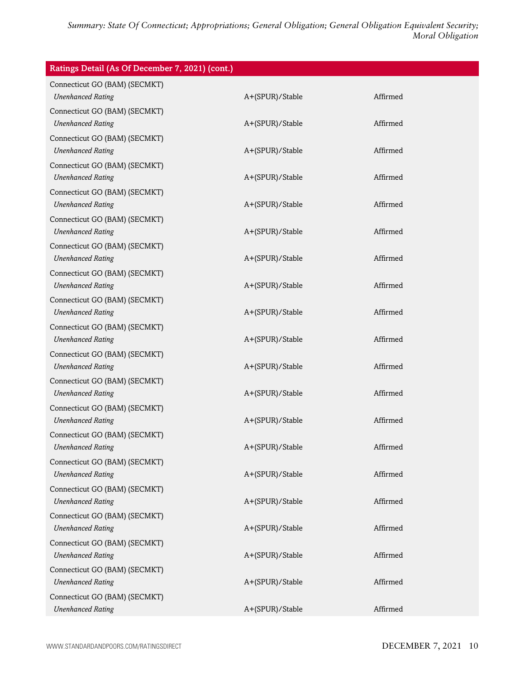| Ratings Detail (As Of December 7, 2021) (cont.)           |                 |          |
|-----------------------------------------------------------|-----------------|----------|
| Connecticut GO (BAM) (SECMKT)<br><b>Unenhanced Rating</b> | A+(SPUR)/Stable | Affirmed |
| Connecticut GO (BAM) (SECMKT)<br><b>Unenhanced Rating</b> | A+(SPUR)/Stable | Affirmed |
| Connecticut GO (BAM) (SECMKT)<br><b>Unenhanced Rating</b> | A+(SPUR)/Stable | Affirmed |
| Connecticut GO (BAM) (SECMKT)<br><b>Unenhanced Rating</b> | A+(SPUR)/Stable | Affirmed |
| Connecticut GO (BAM) (SECMKT)<br><b>Unenhanced Rating</b> | A+(SPUR)/Stable | Affirmed |
| Connecticut GO (BAM) (SECMKT)<br><b>Unenhanced Rating</b> | A+(SPUR)/Stable | Affirmed |
| Connecticut GO (BAM) (SECMKT)<br><b>Unenhanced Rating</b> | A+(SPUR)/Stable | Affirmed |
| Connecticut GO (BAM) (SECMKT)<br><b>Unenhanced Rating</b> | A+(SPUR)/Stable | Affirmed |
| Connecticut GO (BAM) (SECMKT)<br><b>Unenhanced Rating</b> | A+(SPUR)/Stable | Affirmed |
| Connecticut GO (BAM) (SECMKT)<br><b>Unenhanced Rating</b> | A+(SPUR)/Stable | Affirmed |
| Connecticut GO (BAM) (SECMKT)<br><b>Unenhanced Rating</b> | A+(SPUR)/Stable | Affirmed |
| Connecticut GO (BAM) (SECMKT)<br><b>Unenhanced Rating</b> | A+(SPUR)/Stable | Affirmed |
| Connecticut GO (BAM) (SECMKT)<br><b>Unenhanced Rating</b> | A+(SPUR)/Stable | Affirmed |
| Connecticut GO (BAM) (SECMKT)<br><b>Unenhanced Rating</b> | A+(SPUR)/Stable | Affirmed |
| Connecticut GO (BAM) (SECMKT)<br><b>Unenhanced Rating</b> | A+(SPUR)/Stable | Affirmed |
| Connecticut GO (BAM) (SECMKT)<br><b>Unenhanced Rating</b> | A+(SPUR)/Stable | Affirmed |
| Connecticut GO (BAM) (SECMKT)<br><b>Unenhanced Rating</b> | A+(SPUR)/Stable | Affirmed |
| Connecticut GO (BAM) (SECMKT)<br><b>Unenhanced Rating</b> | A+(SPUR)/Stable | Affirmed |
| Connecticut GO (BAM) (SECMKT)<br><b>Unenhanced Rating</b> | A+(SPUR)/Stable | Affirmed |
| Connecticut GO (BAM) (SECMKT)<br><b>Unenhanced Rating</b> | A+(SPUR)/Stable | Affirmed |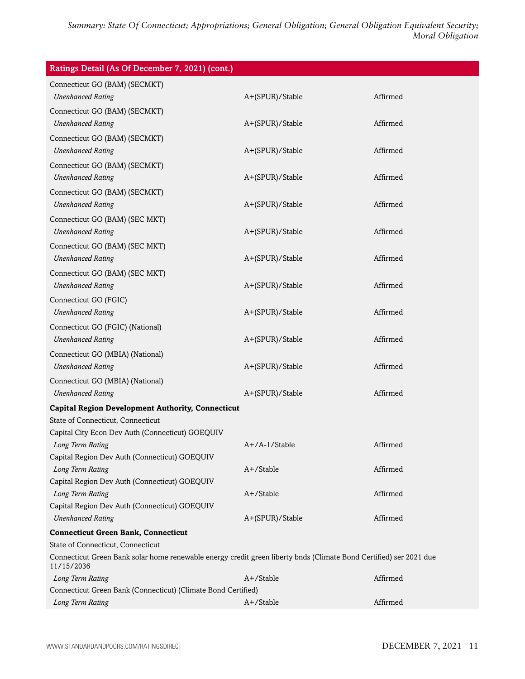| Ratings Detail (As Of December 7, 2021) (cont.)                                                                                  |                 |          |  |
|----------------------------------------------------------------------------------------------------------------------------------|-----------------|----------|--|
| Connecticut GO (BAM) (SECMKT)                                                                                                    |                 |          |  |
| <b>Unenhanced Rating</b>                                                                                                         | A+(SPUR)/Stable | Affirmed |  |
| Connecticut GO (BAM) (SECMKT)                                                                                                    |                 |          |  |
| <b>Unenhanced Rating</b>                                                                                                         | A+(SPUR)/Stable | Affirmed |  |
| Connecticut GO (BAM) (SECMKT)                                                                                                    |                 |          |  |
| <b>Unenhanced Rating</b>                                                                                                         | A+(SPUR)/Stable | Affirmed |  |
| Connecticut GO (BAM) (SECMKT)                                                                                                    |                 |          |  |
| <b>Unenhanced Rating</b>                                                                                                         | A+(SPUR)/Stable | Affirmed |  |
| Connecticut GO (BAM) (SECMKT)                                                                                                    |                 |          |  |
| <b>Unenhanced Rating</b>                                                                                                         | A+(SPUR)/Stable | Affirmed |  |
| Connecticut GO (BAM) (SEC MKT)                                                                                                   |                 |          |  |
| <b>Unenhanced Rating</b>                                                                                                         | A+(SPUR)/Stable | Affirmed |  |
| Connecticut GO (BAM) (SEC MKT)                                                                                                   |                 |          |  |
| <b>Unenhanced Rating</b>                                                                                                         | A+(SPUR)/Stable | Affirmed |  |
| Connecticut GO (BAM) (SEC MKT)                                                                                                   |                 |          |  |
| <b>Unenhanced Rating</b>                                                                                                         | A+(SPUR)/Stable | Affirmed |  |
| Connecticut GO (FGIC)                                                                                                            |                 |          |  |
| <b>Unenhanced Rating</b>                                                                                                         | A+(SPUR)/Stable | Affirmed |  |
| Connecticut GO (FGIC) (National)                                                                                                 |                 |          |  |
| <b>Unenhanced Rating</b>                                                                                                         | A+(SPUR)/Stable | Affirmed |  |
| Connecticut GO (MBIA) (National)                                                                                                 |                 |          |  |
| <b>Unenhanced Rating</b>                                                                                                         | A+(SPUR)/Stable | Affirmed |  |
| Connecticut GO (MBIA) (National)                                                                                                 |                 |          |  |
| <b>Unenhanced Rating</b>                                                                                                         | A+(SPUR)/Stable | Affirmed |  |
| <b>Capital Region Development Authority, Connecticut</b>                                                                         |                 |          |  |
| State of Connecticut, Connecticut                                                                                                |                 |          |  |
| Capital City Econ Dev Auth (Connecticut) GOEQUIV                                                                                 |                 |          |  |
| Long Term Rating                                                                                                                 | A+/A-1/Stable   | Affirmed |  |
| Capital Region Dev Auth (Connecticut) GOEQUIV                                                                                    |                 |          |  |
| Long Term Rating                                                                                                                 | A+/Stable       | Affirmed |  |
| Capital Region Dev Auth (Connecticut) GOEQUIV<br>Long Term Rating                                                                | A+/Stable       | Affirmed |  |
| Capital Region Dev Auth (Connecticut) GOEQUIV                                                                                    |                 |          |  |
| <b>Unenhanced Rating</b>                                                                                                         | A+(SPUR)/Stable | Affirmed |  |
| <b>Connecticut Green Bank, Connecticut</b>                                                                                       |                 |          |  |
| State of Connecticut, Connecticut                                                                                                |                 |          |  |
| Connecticut Green Bank solar home renewable energy credit green liberty bnds (Climate Bond Certified) ser 2021 due<br>11/15/2036 |                 |          |  |
| Long Term Rating                                                                                                                 | A+/Stable       | Affirmed |  |
| Connecticut Green Bank (Connecticut) (Climate Bond Certified)                                                                    |                 |          |  |
| Long Term Rating                                                                                                                 | A+/Stable       | Affirmed |  |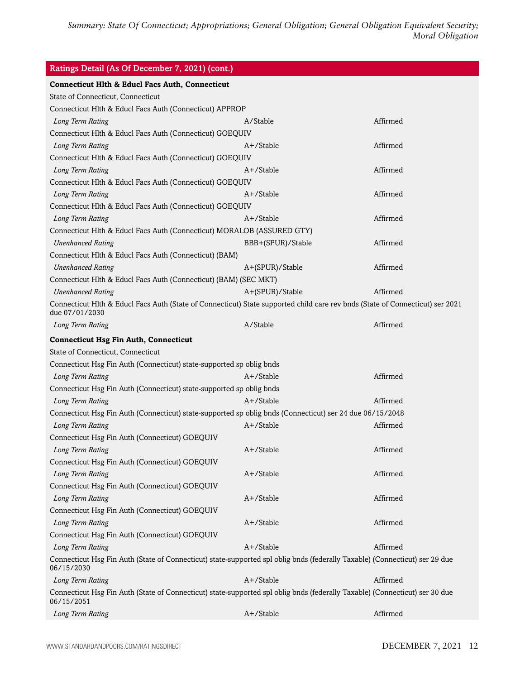| Ratings Detail (As Of December 7, 2021) (cont.)                                                                                                 |                   |          |
|-------------------------------------------------------------------------------------------------------------------------------------------------|-------------------|----------|
| <b>Connecticut Hlth &amp; Educl Facs Auth, Connecticut</b>                                                                                      |                   |          |
| State of Connecticut, Connecticut                                                                                                               |                   |          |
| Connecticut Hlth & Educl Facs Auth (Connecticut) APPROP                                                                                         |                   |          |
| Long Term Rating                                                                                                                                | A/Stable          | Affirmed |
| Connecticut Hlth & Educl Facs Auth (Connecticut) GOEQUIV                                                                                        |                   |          |
| Long Term Rating                                                                                                                                | $A+$ /Stable      | Affirmed |
| Connecticut Hlth & Educl Facs Auth (Connecticut) GOEQUIV                                                                                        |                   |          |
| Long Term Rating                                                                                                                                | $A+$ /Stable      | Affirmed |
| Connecticut Hlth & Educl Facs Auth (Connecticut) GOEQUIV                                                                                        |                   |          |
| Long Term Rating                                                                                                                                | $A+$ /Stable      | Affirmed |
| Connecticut Hlth & Educl Facs Auth (Connecticut) GOEQUIV                                                                                        |                   |          |
| Long Term Rating                                                                                                                                | $A+$ /Stable      | Affirmed |
| Connecticut Hlth & Educl Facs Auth (Connecticut) MORALOB (ASSURED GTY)                                                                          |                   |          |
| <b>Unenhanced Rating</b>                                                                                                                        | BBB+(SPUR)/Stable | Affirmed |
| Connecticut Hlth & Educl Facs Auth (Connecticut) (BAM)                                                                                          |                   |          |
| <b>Unenhanced Rating</b>                                                                                                                        | A+(SPUR)/Stable   | Affirmed |
| Connecticut Hlth & Educl Facs Auth (Connecticut) (BAM) (SEC MKT)                                                                                |                   |          |
| <b>Unenhanced Rating</b>                                                                                                                        | A+(SPUR)/Stable   | Affirmed |
| Connecticut Hlth & Educl Facs Auth (State of Connecticut) State supported child care rev bnds (State of Connecticut) ser 2021<br>due 07/01/2030 |                   |          |
| Long Term Rating                                                                                                                                | A/Stable          | Affirmed |
| <b>Connecticut Hsg Fin Auth, Connecticut</b>                                                                                                    |                   |          |
| State of Connecticut, Connecticut                                                                                                               |                   |          |
| Connecticut Hsg Fin Auth (Connecticut) state-supported sp oblig bnds                                                                            |                   |          |
| Long Term Rating                                                                                                                                | A+/Stable         | Affirmed |
| Connecticut Hsg Fin Auth (Connecticut) state-supported sp oblig bnds                                                                            |                   |          |
| Long Term Rating                                                                                                                                | A+/Stable         | Affirmed |
| Connecticut Hsg Fin Auth (Connecticut) state-supported sp oblig bnds (Connecticut) ser 24 due 06/15/2048                                        |                   |          |
| Long Term Rating                                                                                                                                | $A+$ /Stable      | Affirmed |
| Connecticut Hsg Fin Auth (Connecticut) GOEQUIV                                                                                                  |                   |          |
| Long Term Rating                                                                                                                                | A+/Stable         | Affirmed |
| Connecticut Hsg Fin Auth (Connecticut) GOEQUIV                                                                                                  |                   |          |
| Long Term Rating                                                                                                                                | A+/Stable         | Affirmed |
| Connecticut Hsg Fin Auth (Connecticut) GOEQUIV                                                                                                  |                   |          |
| Long Term Rating                                                                                                                                | A+/Stable         | Affirmed |
| Connecticut Hsg Fin Auth (Connecticut) GOEQUIV                                                                                                  |                   |          |
| Long Term Rating                                                                                                                                | A+/Stable         | Affirmed |
| Connecticut Hsg Fin Auth (Connecticut) GOEQUIV                                                                                                  |                   |          |
| Long Term Rating                                                                                                                                | A+/Stable         | Affirmed |
| Connecticut Hsg Fin Auth (State of Connecticut) state-supported spl oblig bnds (federally Taxable) (Connecticut) ser 29 due<br>06/15/2030       |                   |          |
| Long Term Rating                                                                                                                                | A+/Stable         | Affirmed |
| Connecticut Hsg Fin Auth (State of Connecticut) state-supported spl oblig bnds (federally Taxable) (Connecticut) ser 30 due<br>06/15/2051       |                   |          |
| Long Term Rating                                                                                                                                | A+/Stable         | Affirmed |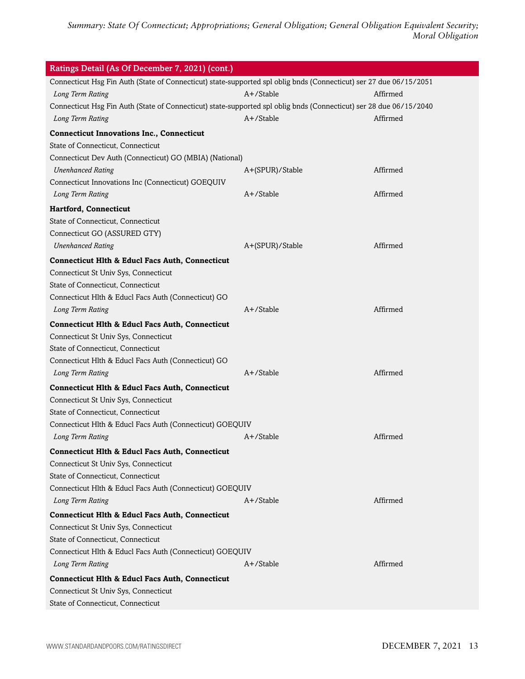| Connecticut Hsg Fin Auth (State of Connecticut) state-supported spl oblig bnds (Connecticut) ser 27 due 06/15/2051<br>A+/Stable<br>Affirmed<br>Long Term Rating<br>Connecticut Hsg Fin Auth (State of Connecticut) state-supported spl oblig bnds (Connecticut) ser 28 due 06/15/2040<br>Long Term Rating<br>A+/Stable<br>Affirmed<br><b>Connecticut Innovations Inc., Connecticut</b><br>State of Connecticut, Connecticut<br>Connecticut Dev Auth (Connecticut) GO (MBIA) (National)<br><b>Unenhanced Rating</b><br>Affirmed<br>A+(SPUR)/Stable<br>Connecticut Innovations Inc (Connecticut) GOEQUIV<br>A+/Stable<br>Affirmed<br>Long Term Rating<br><b>Hartford, Connecticut</b><br>State of Connecticut, Connecticut<br>Connecticut GO (ASSURED GTY)<br><b>Unenhanced Rating</b><br>Affirmed<br>A+(SPUR)/Stable<br><b>Connecticut Hlth &amp; Educl Facs Auth, Connecticut</b><br>Connecticut St Univ Sys, Connecticut<br>State of Connecticut, Connecticut<br>Connecticut Hlth & Educl Facs Auth (Connecticut) GO<br>$A+$ /Stable<br>Affirmed<br>Long Term Rating<br><b>Connecticut Hlth &amp; Educl Facs Auth, Connecticut</b><br>Connecticut St Univ Sys, Connecticut<br>State of Connecticut, Connecticut<br>Connecticut Hlth & Educl Facs Auth (Connecticut) GO<br>$A+$ /Stable<br>Affirmed<br>Long Term Rating<br><b>Connecticut Hlth &amp; Educl Facs Auth, Connecticut</b><br>Connecticut St Univ Sys, Connecticut<br>State of Connecticut, Connecticut<br>Connecticut Hlth & Educl Facs Auth (Connecticut) GOEQUIV<br>A+/Stable<br>Affirmed<br>Long Term Rating<br><b>Connecticut Hlth &amp; Educl Facs Auth, Connecticut</b><br>Connecticut St Univ Sys, Connecticut<br>State of Connecticut, Connecticut<br>Connecticut Hlth & Educl Facs Auth (Connecticut) GOEQUIV<br>A+/Stable<br>Affirmed<br>Long Term Rating<br><b>Connecticut Hlth &amp; Educl Facs Auth, Connecticut</b><br>Connecticut St Univ Sys, Connecticut | Ratings Detail (As Of December 7, 2021) (cont.) |  |  |  |
|---------------------------------------------------------------------------------------------------------------------------------------------------------------------------------------------------------------------------------------------------------------------------------------------------------------------------------------------------------------------------------------------------------------------------------------------------------------------------------------------------------------------------------------------------------------------------------------------------------------------------------------------------------------------------------------------------------------------------------------------------------------------------------------------------------------------------------------------------------------------------------------------------------------------------------------------------------------------------------------------------------------------------------------------------------------------------------------------------------------------------------------------------------------------------------------------------------------------------------------------------------------------------------------------------------------------------------------------------------------------------------------------------------------------------------------------------------------------------------------------------------------------------------------------------------------------------------------------------------------------------------------------------------------------------------------------------------------------------------------------------------------------------------------------------------------------------------------------------------------------------------------------------------------------------------------|-------------------------------------------------|--|--|--|
|                                                                                                                                                                                                                                                                                                                                                                                                                                                                                                                                                                                                                                                                                                                                                                                                                                                                                                                                                                                                                                                                                                                                                                                                                                                                                                                                                                                                                                                                                                                                                                                                                                                                                                                                                                                                                                                                                                                                       |                                                 |  |  |  |
|                                                                                                                                                                                                                                                                                                                                                                                                                                                                                                                                                                                                                                                                                                                                                                                                                                                                                                                                                                                                                                                                                                                                                                                                                                                                                                                                                                                                                                                                                                                                                                                                                                                                                                                                                                                                                                                                                                                                       |                                                 |  |  |  |
|                                                                                                                                                                                                                                                                                                                                                                                                                                                                                                                                                                                                                                                                                                                                                                                                                                                                                                                                                                                                                                                                                                                                                                                                                                                                                                                                                                                                                                                                                                                                                                                                                                                                                                                                                                                                                                                                                                                                       |                                                 |  |  |  |
|                                                                                                                                                                                                                                                                                                                                                                                                                                                                                                                                                                                                                                                                                                                                                                                                                                                                                                                                                                                                                                                                                                                                                                                                                                                                                                                                                                                                                                                                                                                                                                                                                                                                                                                                                                                                                                                                                                                                       |                                                 |  |  |  |
|                                                                                                                                                                                                                                                                                                                                                                                                                                                                                                                                                                                                                                                                                                                                                                                                                                                                                                                                                                                                                                                                                                                                                                                                                                                                                                                                                                                                                                                                                                                                                                                                                                                                                                                                                                                                                                                                                                                                       |                                                 |  |  |  |
|                                                                                                                                                                                                                                                                                                                                                                                                                                                                                                                                                                                                                                                                                                                                                                                                                                                                                                                                                                                                                                                                                                                                                                                                                                                                                                                                                                                                                                                                                                                                                                                                                                                                                                                                                                                                                                                                                                                                       |                                                 |  |  |  |
|                                                                                                                                                                                                                                                                                                                                                                                                                                                                                                                                                                                                                                                                                                                                                                                                                                                                                                                                                                                                                                                                                                                                                                                                                                                                                                                                                                                                                                                                                                                                                                                                                                                                                                                                                                                                                                                                                                                                       |                                                 |  |  |  |
|                                                                                                                                                                                                                                                                                                                                                                                                                                                                                                                                                                                                                                                                                                                                                                                                                                                                                                                                                                                                                                                                                                                                                                                                                                                                                                                                                                                                                                                                                                                                                                                                                                                                                                                                                                                                                                                                                                                                       |                                                 |  |  |  |
|                                                                                                                                                                                                                                                                                                                                                                                                                                                                                                                                                                                                                                                                                                                                                                                                                                                                                                                                                                                                                                                                                                                                                                                                                                                                                                                                                                                                                                                                                                                                                                                                                                                                                                                                                                                                                                                                                                                                       |                                                 |  |  |  |
|                                                                                                                                                                                                                                                                                                                                                                                                                                                                                                                                                                                                                                                                                                                                                                                                                                                                                                                                                                                                                                                                                                                                                                                                                                                                                                                                                                                                                                                                                                                                                                                                                                                                                                                                                                                                                                                                                                                                       |                                                 |  |  |  |
|                                                                                                                                                                                                                                                                                                                                                                                                                                                                                                                                                                                                                                                                                                                                                                                                                                                                                                                                                                                                                                                                                                                                                                                                                                                                                                                                                                                                                                                                                                                                                                                                                                                                                                                                                                                                                                                                                                                                       |                                                 |  |  |  |
|                                                                                                                                                                                                                                                                                                                                                                                                                                                                                                                                                                                                                                                                                                                                                                                                                                                                                                                                                                                                                                                                                                                                                                                                                                                                                                                                                                                                                                                                                                                                                                                                                                                                                                                                                                                                                                                                                                                                       |                                                 |  |  |  |
|                                                                                                                                                                                                                                                                                                                                                                                                                                                                                                                                                                                                                                                                                                                                                                                                                                                                                                                                                                                                                                                                                                                                                                                                                                                                                                                                                                                                                                                                                                                                                                                                                                                                                                                                                                                                                                                                                                                                       |                                                 |  |  |  |
|                                                                                                                                                                                                                                                                                                                                                                                                                                                                                                                                                                                                                                                                                                                                                                                                                                                                                                                                                                                                                                                                                                                                                                                                                                                                                                                                                                                                                                                                                                                                                                                                                                                                                                                                                                                                                                                                                                                                       |                                                 |  |  |  |
|                                                                                                                                                                                                                                                                                                                                                                                                                                                                                                                                                                                                                                                                                                                                                                                                                                                                                                                                                                                                                                                                                                                                                                                                                                                                                                                                                                                                                                                                                                                                                                                                                                                                                                                                                                                                                                                                                                                                       |                                                 |  |  |  |
|                                                                                                                                                                                                                                                                                                                                                                                                                                                                                                                                                                                                                                                                                                                                                                                                                                                                                                                                                                                                                                                                                                                                                                                                                                                                                                                                                                                                                                                                                                                                                                                                                                                                                                                                                                                                                                                                                                                                       |                                                 |  |  |  |
|                                                                                                                                                                                                                                                                                                                                                                                                                                                                                                                                                                                                                                                                                                                                                                                                                                                                                                                                                                                                                                                                                                                                                                                                                                                                                                                                                                                                                                                                                                                                                                                                                                                                                                                                                                                                                                                                                                                                       |                                                 |  |  |  |
|                                                                                                                                                                                                                                                                                                                                                                                                                                                                                                                                                                                                                                                                                                                                                                                                                                                                                                                                                                                                                                                                                                                                                                                                                                                                                                                                                                                                                                                                                                                                                                                                                                                                                                                                                                                                                                                                                                                                       |                                                 |  |  |  |
|                                                                                                                                                                                                                                                                                                                                                                                                                                                                                                                                                                                                                                                                                                                                                                                                                                                                                                                                                                                                                                                                                                                                                                                                                                                                                                                                                                                                                                                                                                                                                                                                                                                                                                                                                                                                                                                                                                                                       |                                                 |  |  |  |
|                                                                                                                                                                                                                                                                                                                                                                                                                                                                                                                                                                                                                                                                                                                                                                                                                                                                                                                                                                                                                                                                                                                                                                                                                                                                                                                                                                                                                                                                                                                                                                                                                                                                                                                                                                                                                                                                                                                                       |                                                 |  |  |  |
|                                                                                                                                                                                                                                                                                                                                                                                                                                                                                                                                                                                                                                                                                                                                                                                                                                                                                                                                                                                                                                                                                                                                                                                                                                                                                                                                                                                                                                                                                                                                                                                                                                                                                                                                                                                                                                                                                                                                       |                                                 |  |  |  |
|                                                                                                                                                                                                                                                                                                                                                                                                                                                                                                                                                                                                                                                                                                                                                                                                                                                                                                                                                                                                                                                                                                                                                                                                                                                                                                                                                                                                                                                                                                                                                                                                                                                                                                                                                                                                                                                                                                                                       |                                                 |  |  |  |
|                                                                                                                                                                                                                                                                                                                                                                                                                                                                                                                                                                                                                                                                                                                                                                                                                                                                                                                                                                                                                                                                                                                                                                                                                                                                                                                                                                                                                                                                                                                                                                                                                                                                                                                                                                                                                                                                                                                                       |                                                 |  |  |  |
|                                                                                                                                                                                                                                                                                                                                                                                                                                                                                                                                                                                                                                                                                                                                                                                                                                                                                                                                                                                                                                                                                                                                                                                                                                                                                                                                                                                                                                                                                                                                                                                                                                                                                                                                                                                                                                                                                                                                       |                                                 |  |  |  |
|                                                                                                                                                                                                                                                                                                                                                                                                                                                                                                                                                                                                                                                                                                                                                                                                                                                                                                                                                                                                                                                                                                                                                                                                                                                                                                                                                                                                                                                                                                                                                                                                                                                                                                                                                                                                                                                                                                                                       |                                                 |  |  |  |
|                                                                                                                                                                                                                                                                                                                                                                                                                                                                                                                                                                                                                                                                                                                                                                                                                                                                                                                                                                                                                                                                                                                                                                                                                                                                                                                                                                                                                                                                                                                                                                                                                                                                                                                                                                                                                                                                                                                                       |                                                 |  |  |  |
|                                                                                                                                                                                                                                                                                                                                                                                                                                                                                                                                                                                                                                                                                                                                                                                                                                                                                                                                                                                                                                                                                                                                                                                                                                                                                                                                                                                                                                                                                                                                                                                                                                                                                                                                                                                                                                                                                                                                       |                                                 |  |  |  |
|                                                                                                                                                                                                                                                                                                                                                                                                                                                                                                                                                                                                                                                                                                                                                                                                                                                                                                                                                                                                                                                                                                                                                                                                                                                                                                                                                                                                                                                                                                                                                                                                                                                                                                                                                                                                                                                                                                                                       |                                                 |  |  |  |
|                                                                                                                                                                                                                                                                                                                                                                                                                                                                                                                                                                                                                                                                                                                                                                                                                                                                                                                                                                                                                                                                                                                                                                                                                                                                                                                                                                                                                                                                                                                                                                                                                                                                                                                                                                                                                                                                                                                                       |                                                 |  |  |  |
|                                                                                                                                                                                                                                                                                                                                                                                                                                                                                                                                                                                                                                                                                                                                                                                                                                                                                                                                                                                                                                                                                                                                                                                                                                                                                                                                                                                                                                                                                                                                                                                                                                                                                                                                                                                                                                                                                                                                       |                                                 |  |  |  |
|                                                                                                                                                                                                                                                                                                                                                                                                                                                                                                                                                                                                                                                                                                                                                                                                                                                                                                                                                                                                                                                                                                                                                                                                                                                                                                                                                                                                                                                                                                                                                                                                                                                                                                                                                                                                                                                                                                                                       |                                                 |  |  |  |
|                                                                                                                                                                                                                                                                                                                                                                                                                                                                                                                                                                                                                                                                                                                                                                                                                                                                                                                                                                                                                                                                                                                                                                                                                                                                                                                                                                                                                                                                                                                                                                                                                                                                                                                                                                                                                                                                                                                                       |                                                 |  |  |  |
|                                                                                                                                                                                                                                                                                                                                                                                                                                                                                                                                                                                                                                                                                                                                                                                                                                                                                                                                                                                                                                                                                                                                                                                                                                                                                                                                                                                                                                                                                                                                                                                                                                                                                                                                                                                                                                                                                                                                       |                                                 |  |  |  |
|                                                                                                                                                                                                                                                                                                                                                                                                                                                                                                                                                                                                                                                                                                                                                                                                                                                                                                                                                                                                                                                                                                                                                                                                                                                                                                                                                                                                                                                                                                                                                                                                                                                                                                                                                                                                                                                                                                                                       |                                                 |  |  |  |
|                                                                                                                                                                                                                                                                                                                                                                                                                                                                                                                                                                                                                                                                                                                                                                                                                                                                                                                                                                                                                                                                                                                                                                                                                                                                                                                                                                                                                                                                                                                                                                                                                                                                                                                                                                                                                                                                                                                                       |                                                 |  |  |  |
|                                                                                                                                                                                                                                                                                                                                                                                                                                                                                                                                                                                                                                                                                                                                                                                                                                                                                                                                                                                                                                                                                                                                                                                                                                                                                                                                                                                                                                                                                                                                                                                                                                                                                                                                                                                                                                                                                                                                       |                                                 |  |  |  |
| State of Connecticut, Connecticut                                                                                                                                                                                                                                                                                                                                                                                                                                                                                                                                                                                                                                                                                                                                                                                                                                                                                                                                                                                                                                                                                                                                                                                                                                                                                                                                                                                                                                                                                                                                                                                                                                                                                                                                                                                                                                                                                                     |                                                 |  |  |  |
| Connecticut Hlth & Educl Facs Auth (Connecticut) GOEQUIV                                                                                                                                                                                                                                                                                                                                                                                                                                                                                                                                                                                                                                                                                                                                                                                                                                                                                                                                                                                                                                                                                                                                                                                                                                                                                                                                                                                                                                                                                                                                                                                                                                                                                                                                                                                                                                                                              |                                                 |  |  |  |
| A+/Stable<br>Affirmed<br>Long Term Rating                                                                                                                                                                                                                                                                                                                                                                                                                                                                                                                                                                                                                                                                                                                                                                                                                                                                                                                                                                                                                                                                                                                                                                                                                                                                                                                                                                                                                                                                                                                                                                                                                                                                                                                                                                                                                                                                                             |                                                 |  |  |  |
|                                                                                                                                                                                                                                                                                                                                                                                                                                                                                                                                                                                                                                                                                                                                                                                                                                                                                                                                                                                                                                                                                                                                                                                                                                                                                                                                                                                                                                                                                                                                                                                                                                                                                                                                                                                                                                                                                                                                       |                                                 |  |  |  |
| <b>Connecticut Hlth &amp; Educl Facs Auth, Connecticut</b><br>Connecticut St Univ Sys, Connecticut                                                                                                                                                                                                                                                                                                                                                                                                                                                                                                                                                                                                                                                                                                                                                                                                                                                                                                                                                                                                                                                                                                                                                                                                                                                                                                                                                                                                                                                                                                                                                                                                                                                                                                                                                                                                                                    |                                                 |  |  |  |
| State of Connecticut, Connecticut                                                                                                                                                                                                                                                                                                                                                                                                                                                                                                                                                                                                                                                                                                                                                                                                                                                                                                                                                                                                                                                                                                                                                                                                                                                                                                                                                                                                                                                                                                                                                                                                                                                                                                                                                                                                                                                                                                     |                                                 |  |  |  |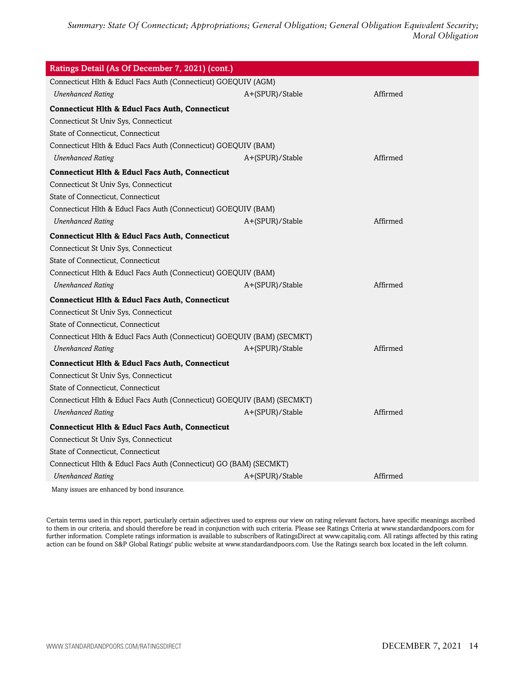| Ratings Detail (As Of December 7, 2021) (cont.)                         |                 |          |  |
|-------------------------------------------------------------------------|-----------------|----------|--|
| Connecticut Hlth & Educl Facs Auth (Connecticut) GOEQUIV (AGM)          |                 |          |  |
| <b>Unenhanced Rating</b>                                                | A+(SPUR)/Stable | Affirmed |  |
| <b>Connecticut Hlth &amp; Educl Facs Auth, Connecticut</b>              |                 |          |  |
| Connecticut St Univ Sys, Connecticut                                    |                 |          |  |
| State of Connecticut, Connecticut                                       |                 |          |  |
| Connecticut Hlth & Educl Facs Auth (Connecticut) GOEQUIV (BAM)          |                 |          |  |
| <b>Unenhanced Rating</b>                                                | A+(SPUR)/Stable | Affirmed |  |
| <b>Connecticut Hlth &amp; Educl Facs Auth, Connecticut</b>              |                 |          |  |
| Connecticut St Univ Sys, Connecticut                                    |                 |          |  |
| State of Connecticut, Connecticut                                       |                 |          |  |
| Connecticut Hlth & Educl Facs Auth (Connecticut) GOEQUIV (BAM)          |                 |          |  |
| <b>Unenhanced Rating</b>                                                | A+(SPUR)/Stable | Affirmed |  |
| <b>Connecticut Hlth &amp; Educl Facs Auth, Connecticut</b>              |                 |          |  |
| Connecticut St Univ Sys, Connecticut                                    |                 |          |  |
| State of Connecticut, Connecticut                                       |                 |          |  |
| Connecticut Hlth & Educl Facs Auth (Connecticut) GOEQUIV (BAM)          |                 |          |  |
| <b>Unenhanced Rating</b>                                                | A+(SPUR)/Stable | Affirmed |  |
| <b>Connecticut Hlth &amp; Educl Facs Auth, Connecticut</b>              |                 |          |  |
| Connecticut St Univ Sys, Connecticut                                    |                 |          |  |
| State of Connecticut, Connecticut                                       |                 |          |  |
| Connecticut Hlth & Educl Facs Auth (Connecticut) GOEQUIV (BAM) (SECMKT) |                 |          |  |
| <b>Unenhanced Rating</b>                                                | A+(SPUR)/Stable | Affirmed |  |
| <b>Connecticut Hlth &amp; Educl Facs Auth, Connecticut</b>              |                 |          |  |
| Connecticut St Univ Sys, Connecticut                                    |                 |          |  |
| State of Connecticut, Connecticut                                       |                 |          |  |
| Connecticut Hlth & Educl Facs Auth (Connecticut) GOEQUIV (BAM) (SECMKT) |                 |          |  |
| <b>Unenhanced Rating</b>                                                | A+(SPUR)/Stable | Affirmed |  |
| <b>Connecticut Hlth &amp; Educl Facs Auth, Connecticut</b>              |                 |          |  |
| Connecticut St Univ Sys, Connecticut                                    |                 |          |  |
| State of Connecticut, Connecticut                                       |                 |          |  |
| Connecticut Hlth & Educl Facs Auth (Connecticut) GO (BAM) (SECMKT)      |                 |          |  |
| <b>Unenhanced Rating</b>                                                | A+(SPUR)/Stable | Affirmed |  |
| Monujection are exhanged by hand incurrence                             |                 |          |  |

Many issues are enhanced by bond insurance.

Certain terms used in this report, particularly certain adjectives used to express our view on rating relevant factors, have specific meanings ascribed to them in our criteria, and should therefore be read in conjunction with such criteria. Please see Ratings Criteria at www.standardandpoors.com for further information. Complete ratings information is available to subscribers of RatingsDirect at www.capitaliq.com. All ratings affected by this rating action can be found on S&P Global Ratings' public website at www.standardandpoors.com. Use the Ratings search box located in the left column.